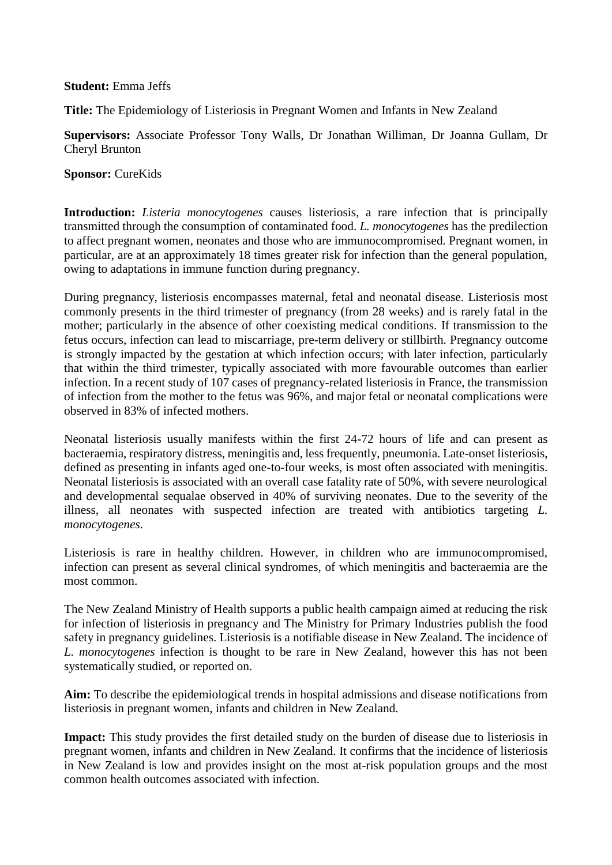## **Student:** Emma Jeffs

**Title:** The Epidemiology of Listeriosis in Pregnant Women and Infants in New Zealand

**Supervisors:** Associate Professor Tony Walls, Dr Jonathan Williman, Dr Joanna Gullam, Dr Cheryl Brunton

**Sponsor:** CureKids

**Introduction:** *Listeria monocytogenes* causes listeriosis*,* a rare infection that is principally transmitted through the consumption of contaminated food. *L. monocytogenes* has the predilection to affect pregnant women, neonates and those who are immunocompromised. Pregnant women, in particular, are at an approximately 18 times greater risk for infection than the general population, owing to adaptations in immune function during pregnancy.

During pregnancy, listeriosis encompasses maternal, fetal and neonatal disease. Listeriosis most commonly presents in the third trimester of pregnancy (from 28 weeks) and is rarely fatal in the mother; particularly in the absence of other coexisting medical conditions. If transmission to the fetus occurs, infection can lead to miscarriage, pre-term delivery or stillbirth. Pregnancy outcome is strongly impacted by the gestation at which infection occurs; with later infection, particularly that within the third trimester, typically associated with more favourable outcomes than earlier infection. In a recent study of 107 cases of pregnancy-related listeriosis in France, the transmission of infection from the mother to the fetus was 96%, and major fetal or neonatal complications were observed in 83% of infected mothers.

Neonatal listeriosis usually manifests within the first 24-72 hours of life and can present as bacteraemia, respiratory distress, meningitis and, less frequently, pneumonia. Late-onset listeriosis, defined as presenting in infants aged one-to-four weeks, is most often associated with meningitis. Neonatal listeriosis is associated with an overall case fatality rate of 50%, with severe neurological and developmental sequalae observed in 40% of surviving neonates. Due to the severity of the illness, all neonates with suspected infection are treated with antibiotics targeting *L. monocytogenes*.

Listeriosis is rare in healthy children. However, in children who are immunocompromised, infection can present as several clinical syndromes, of which meningitis and bacteraemia are the most common.

The New Zealand Ministry of Health supports a public health campaign aimed at reducing the risk for infection of listeriosis in pregnancy and The Ministry for Primary Industries publish the food safety in pregnancy guidelines. Listeriosis is a notifiable disease in New Zealand. The incidence of *L. monocytogenes* infection is thought to be rare in New Zealand, however this has not been systematically studied, or reported on.

**Aim:** To describe the epidemiological trends in hospital admissions and disease notifications from listeriosis in pregnant women, infants and children in New Zealand.

**Impact:** This study provides the first detailed study on the burden of disease due to listeriosis in pregnant women, infants and children in New Zealand. It confirms that the incidence of listeriosis in New Zealand is low and provides insight on the most at-risk population groups and the most common health outcomes associated with infection.